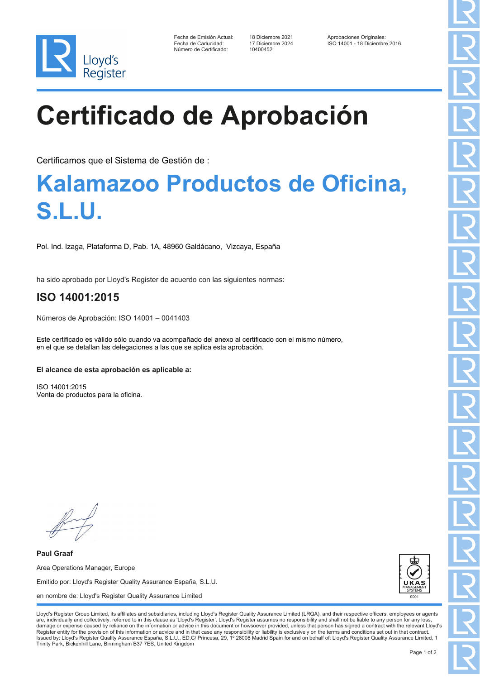

| Fecha de Emisión Actual: |
|--------------------------|
| Fecha de Caducidad:      |
| Número de Certificado:   |

10400452

Fecha de Diciembre 2021 Aprobaciones Originales<br>17 Diciembre 2024 150 14001 - 18 Diciembre ISO 14001 - 18 Diciembre 2016

# **Certificado de Aprobación**

Certificamos que el Sistema de Gestión de :

### **Kalamazoo Productos de Oficina, S.L.U.**

Pol. Ind. Izaga, Plataforma D, Pab. 1A, 48960 Galdácano, Vizcaya, España

ha sido aprobado por Lloyd's Register de acuerdo con las siguientes normas:

### **ISO 14001:2015**

Números de Aprobación: ISO 14001 – 0041403

Este certificado es válido sólo cuando va acompañado del anexo al certificado con el mismo número, en el que se detallan las delegaciones a las que se aplica esta aprobación.

#### **El alcance de esta aprobación es aplicable a:**

ISO 14001:2015 Venta de productos para la oficina.

**Paul Graaf** Area Operations Manager, Europe Emitido por: Lloyd's Register Quality Assurance España, S.L.U. en nombre de: Lloyd's Register Quality Assurance Limited



Lloyd's Register Group Limited, its affiliates and subsidiaries, including Lloyd's Register Quality Assurance Limited (LRQA), and their respective officers, employees or agents are, individually and collectively, referred to in this clause as 'Lloyd's Register'. Lloyd's Register assumes no responsibility and shall not be liable to any person for any los damage or expense caused by reliance on the information or advice in this document or howsoever provided, unless that person has signed a contract with the relevant Lloyd's<br>Register entity for the provision of this informa Issued by: Lloyd's Register Quality Assurance España, S.L.U., ED,C/ Princesa, 29, 1º 28008 Madrid Spain for and on behalf of: Lloyd's Register Quality Assurance Limited, 1 Trinity Park, Bickenhill Lane, Birmingham B37 7ES, United Kingdom